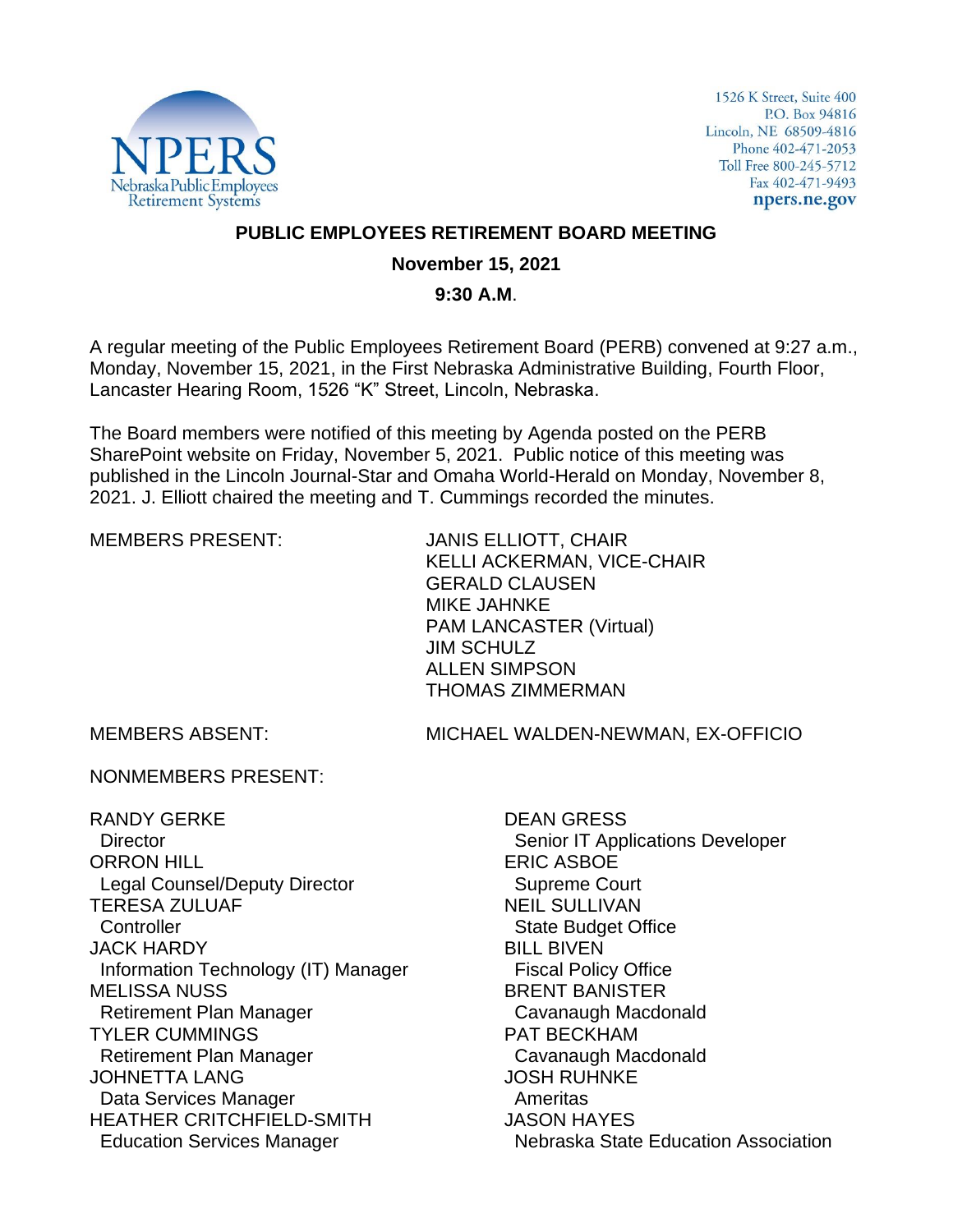

1526 K Street, Suite 400 P.O. Box 94816 Lincoln, NE 68509-4816 Phone 402-471-2053 Toll Free 800-245-5712 Fax 402-471-9493 npers.ne.gov

### **PUBLIC EMPLOYEES RETIREMENT BOARD MEETING**

#### **November 15, 2021**

#### **9:30 A.M**.

A regular meeting of the Public Employees Retirement Board (PERB) convened at 9:27 a.m., Monday, November 15, 2021, in the First Nebraska Administrative Building, Fourth Floor, Lancaster Hearing Room, 1526 "K" Street, Lincoln, Nebraska.

The Board members were notified of this meeting by Agenda posted on the PERB SharePoint website on Friday, November 5, 2021. Public notice of this meeting was published in the Lincoln Journal-Star and Omaha World-Herald on Monday, November 8, 2021. J. Elliott chaired the meeting and T. Cummings recorded the minutes.

MEMBERS PRESENT: JANIS ELLIOTT, CHAIR KELLI ACKERMAN, VICE-CHAIR GERALD CLAUSEN MIKE JAHNKE PAM LANCASTER (Virtual) JIM SCHULZ ALLEN SIMPSON THOMAS ZIMMERMAN

MEMBERS ABSENT: MICHAEL WALDEN-NEWMAN, EX-OFFICIO

NONMEMBERS PRESENT:

RANDY GERKE **Director** ORRON HILL Legal Counsel/Deputy Director TERESA ZULUAF **Controller** JACK HARDY Information Technology (IT) Manager MELISSA NUSS Retirement Plan Manager TYLER CUMMINGS Retirement Plan Manager JOHNETTA LANG Data Services Manager HEATHER CRITCHFIELD-SMITH Education Services Manager

DEAN GRESS Senior IT Applications Developer ERIC ASBOE Supreme Court NEIL SULLIVAN State Budget Office BILL BIVEN Fiscal Policy Office BRENT BANISTER Cavanaugh Macdonald PAT BECKHAM Cavanaugh Macdonald JOSH RUHNKE Ameritas JASON HAYES Nebraska State Education Association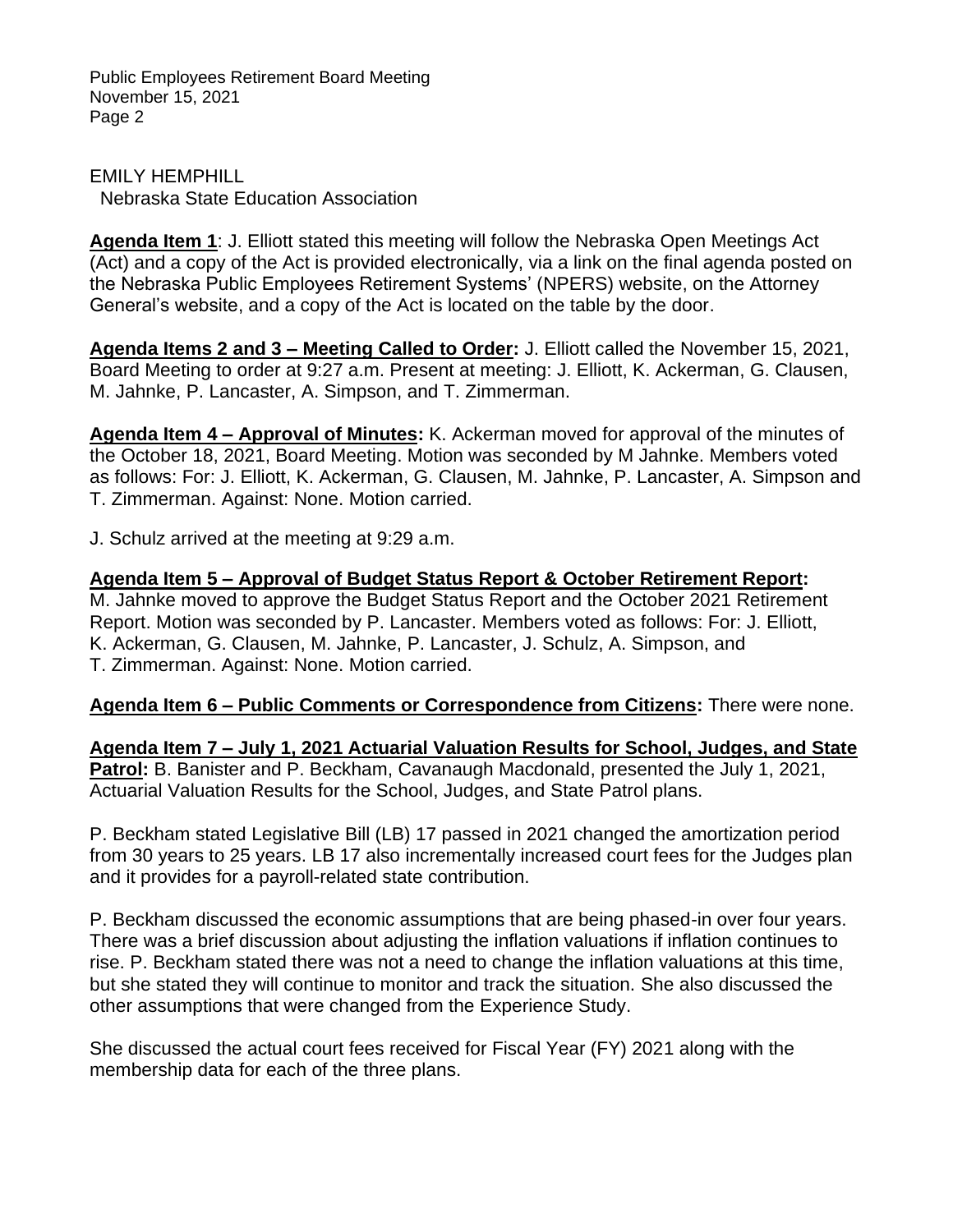EMILY HEMPHILL Nebraska State Education Association

**Agenda Item 1**: J. Elliott stated this meeting will follow the Nebraska Open Meetings Act (Act) and a copy of the Act is provided electronically, via a link on the final agenda posted on the Nebraska Public Employees Retirement Systems' (NPERS) website, on the Attorney General's website, and a copy of the Act is located on the table by the door.

**Agenda Items 2 and 3 – Meeting Called to Order:** J. Elliott called the November 15, 2021, Board Meeting to order at 9:27 a.m. Present at meeting: J. Elliott, K. Ackerman, G. Clausen, M. Jahnke, P. Lancaster, A. Simpson, and T. Zimmerman.

**Agenda Item 4 – Approval of Minutes:** K. Ackerman moved for approval of the minutes of the October 18, 2021, Board Meeting. Motion was seconded by M Jahnke. Members voted as follows: For: J. Elliott, K. Ackerman, G. Clausen, M. Jahnke, P. Lancaster, A. Simpson and T. Zimmerman. Against: None. Motion carried.

J. Schulz arrived at the meeting at 9:29 a.m.

**Agenda Item 5 – Approval of Budget Status Report & October Retirement Report:**  M. Jahnke moved to approve the Budget Status Report and the October 2021 Retirement Report. Motion was seconded by P. Lancaster. Members voted as follows: For: J. Elliott, K. Ackerman, G. Clausen, M. Jahnke, P. Lancaster, J. Schulz, A. Simpson, and T. Zimmerman. Against: None. Motion carried.

### **Agenda Item 6 – Public Comments or Correspondence from Citizens:** There were none.

**Agenda Item 7 – July 1, 2021 Actuarial Valuation Results for School, Judges, and State Patrol:** B. Banister and P. Beckham, Cavanaugh Macdonald, presented the July 1, 2021, Actuarial Valuation Results for the School, Judges, and State Patrol plans.

P. Beckham stated Legislative Bill (LB) 17 passed in 2021 changed the amortization period from 30 years to 25 years. LB 17 also incrementally increased court fees for the Judges plan and it provides for a payroll-related state contribution.

P. Beckham discussed the economic assumptions that are being phased-in over four years. There was a brief discussion about adjusting the inflation valuations if inflation continues to rise. P. Beckham stated there was not a need to change the inflation valuations at this time, but she stated they will continue to monitor and track the situation. She also discussed the other assumptions that were changed from the Experience Study.

She discussed the actual court fees received for Fiscal Year (FY) 2021 along with the membership data for each of the three plans.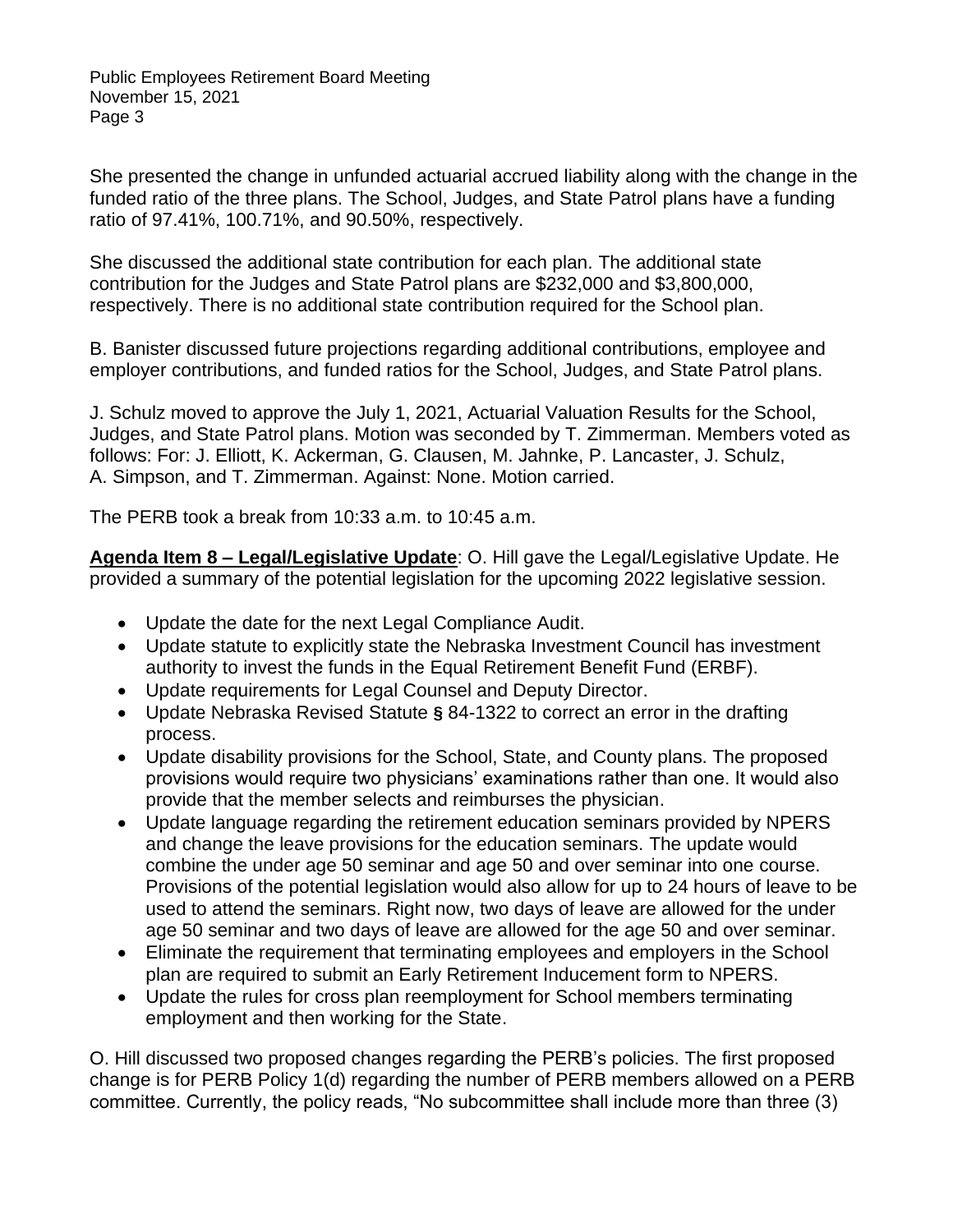She presented the change in unfunded actuarial accrued liability along with the change in the funded ratio of the three plans. The School, Judges, and State Patrol plans have a funding ratio of 97.41%, 100.71%, and 90.50%, respectively.

She discussed the additional state contribution for each plan. The additional state contribution for the Judges and State Patrol plans are \$232,000 and \$3,800,000, respectively. There is no additional state contribution required for the School plan.

B. Banister discussed future projections regarding additional contributions, employee and employer contributions, and funded ratios for the School, Judges, and State Patrol plans.

J. Schulz moved to approve the July 1, 2021, Actuarial Valuation Results for the School, Judges, and State Patrol plans. Motion was seconded by T. Zimmerman. Members voted as follows: For: J. Elliott, K. Ackerman, G. Clausen, M. Jahnke, P. Lancaster, J. Schulz, A. Simpson, and T. Zimmerman. Against: None. Motion carried.

The PERB took a break from 10:33 a.m. to 10:45 a.m.

**Agenda Item 8 – Legal/Legislative Update**: O. Hill gave the Legal/Legislative Update. He provided a summary of the potential legislation for the upcoming 2022 legislative session.

- Update the date for the next Legal Compliance Audit.
- Update statute to explicitly state the Nebraska Investment Council has investment authority to invest the funds in the Equal Retirement Benefit Fund (ERBF).
- Update requirements for Legal Counsel and Deputy Director.
- Update Nebraska Revised Statute **§** 84-1322 to correct an error in the drafting process.
- Update disability provisions for the School, State, and County plans. The proposed provisions would require two physicians' examinations rather than one. It would also provide that the member selects and reimburses the physician.
- Update language regarding the retirement education seminars provided by NPERS and change the leave provisions for the education seminars. The update would combine the under age 50 seminar and age 50 and over seminar into one course. Provisions of the potential legislation would also allow for up to 24 hours of leave to be used to attend the seminars. Right now, two days of leave are allowed for the under age 50 seminar and two days of leave are allowed for the age 50 and over seminar.
- Eliminate the requirement that terminating employees and employers in the School plan are required to submit an Early Retirement Inducement form to NPERS.
- Update the rules for cross plan reemployment for School members terminating employment and then working for the State.

O. Hill discussed two proposed changes regarding the PERB's policies. The first proposed change is for PERB Policy 1(d) regarding the number of PERB members allowed on a PERB committee. Currently, the policy reads, "No subcommittee shall include more than three (3)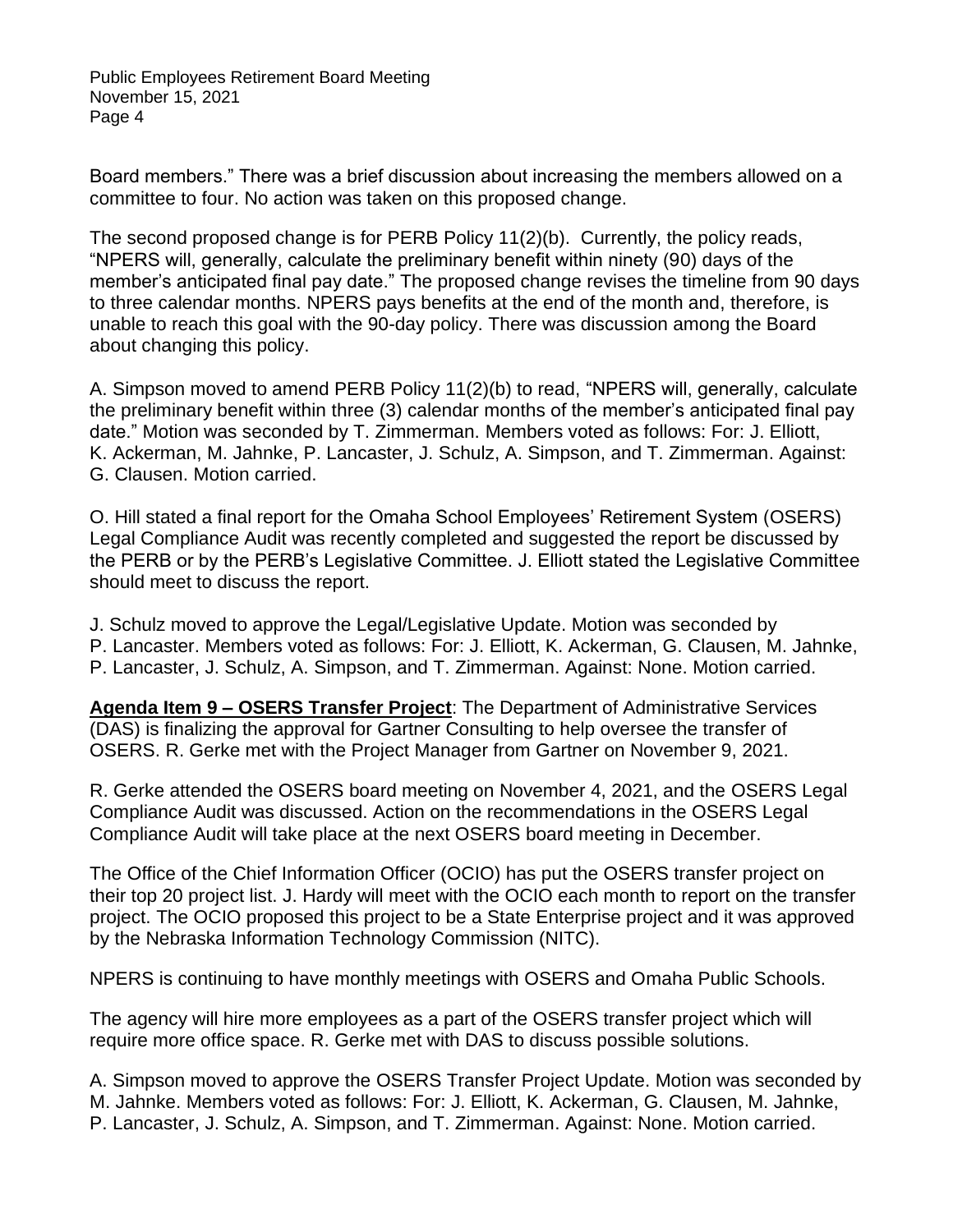Board members." There was a brief discussion about increasing the members allowed on a committee to four. No action was taken on this proposed change.

The second proposed change is for PERB Policy 11(2)(b). Currently, the policy reads, "NPERS will, generally, calculate the preliminary benefit within ninety (90) days of the member's anticipated final pay date." The proposed change revises the timeline from 90 days to three calendar months. NPERS pays benefits at the end of the month and, therefore, is unable to reach this goal with the 90-day policy. There was discussion among the Board about changing this policy.

A. Simpson moved to amend PERB Policy 11(2)(b) to read, "NPERS will, generally, calculate the preliminary benefit within three (3) calendar months of the member's anticipated final pay date." Motion was seconded by T. Zimmerman. Members voted as follows: For: J. Elliott, K. Ackerman, M. Jahnke, P. Lancaster, J. Schulz, A. Simpson, and T. Zimmerman. Against: G. Clausen. Motion carried.

O. Hill stated a final report for the Omaha School Employees' Retirement System (OSERS) Legal Compliance Audit was recently completed and suggested the report be discussed by the PERB or by the PERB's Legislative Committee. J. Elliott stated the Legislative Committee should meet to discuss the report.

J. Schulz moved to approve the Legal/Legislative Update. Motion was seconded by P. Lancaster. Members voted as follows: For: J. Elliott, K. Ackerman, G. Clausen, M. Jahnke, P. Lancaster, J. Schulz, A. Simpson, and T. Zimmerman. Against: None. Motion carried.

**Agenda Item 9 – OSERS Transfer Project**: The Department of Administrative Services (DAS) is finalizing the approval for Gartner Consulting to help oversee the transfer of OSERS. R. Gerke met with the Project Manager from Gartner on November 9, 2021.

R. Gerke attended the OSERS board meeting on November 4, 2021, and the OSERS Legal Compliance Audit was discussed. Action on the recommendations in the OSERS Legal Compliance Audit will take place at the next OSERS board meeting in December.

The Office of the Chief Information Officer (OCIO) has put the OSERS transfer project on their top 20 project list. J. Hardy will meet with the OCIO each month to report on the transfer project. The OCIO proposed this project to be a State Enterprise project and it was approved by the Nebraska Information Technology Commission (NITC).

NPERS is continuing to have monthly meetings with OSERS and Omaha Public Schools.

The agency will hire more employees as a part of the OSERS transfer project which will require more office space. R. Gerke met with DAS to discuss possible solutions.

A. Simpson moved to approve the OSERS Transfer Project Update. Motion was seconded by M. Jahnke. Members voted as follows: For: J. Elliott, K. Ackerman, G. Clausen, M. Jahnke, P. Lancaster, J. Schulz, A. Simpson, and T. Zimmerman. Against: None. Motion carried.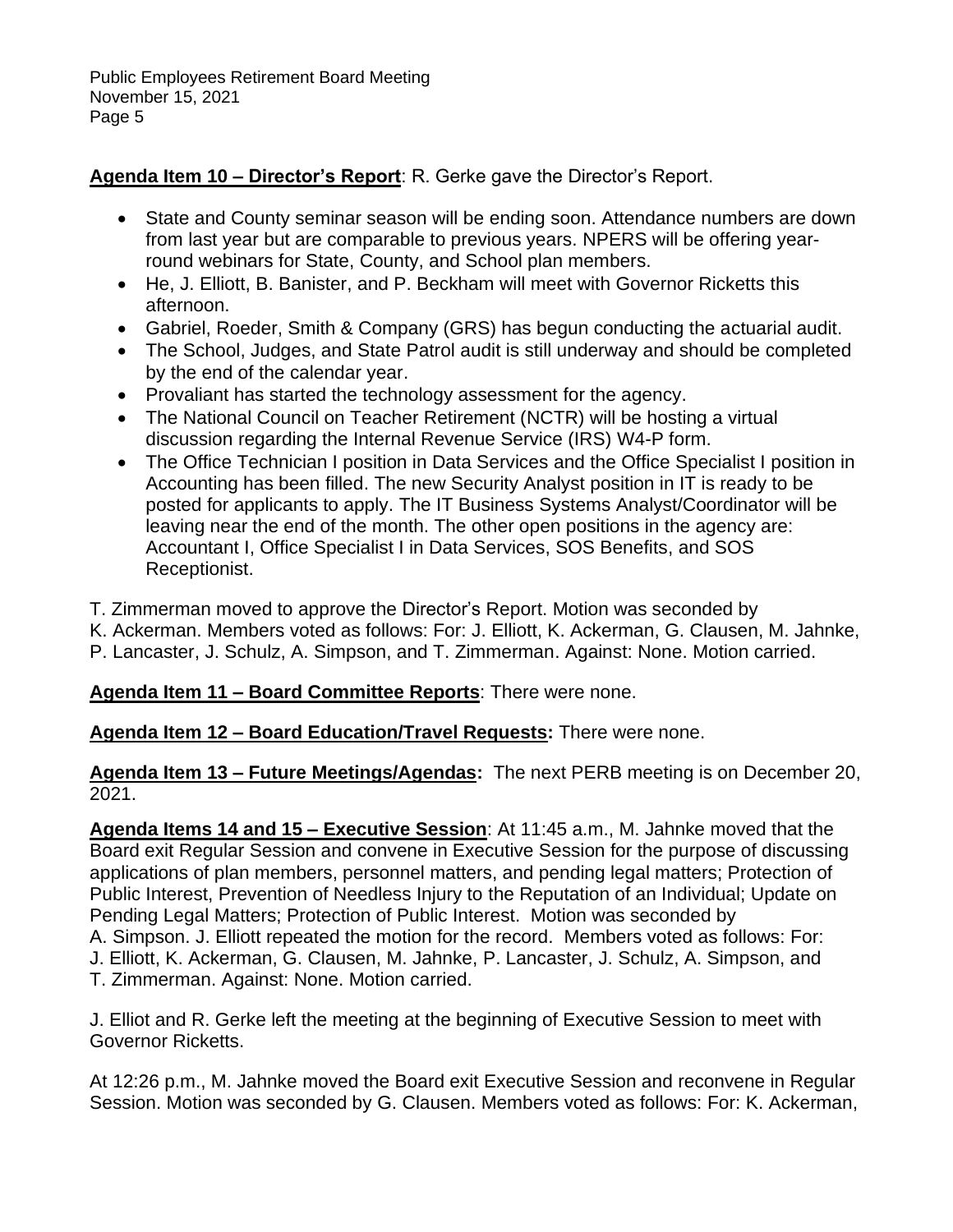### **Agenda Item 10 – Director's Report**: R. Gerke gave the Director's Report.

- State and County seminar season will be ending soon. Attendance numbers are down from last year but are comparable to previous years. NPERS will be offering yearround webinars for State, County, and School plan members.
- He, J. Elliott, B. Banister, and P. Beckham will meet with Governor Ricketts this afternoon.
- Gabriel, Roeder, Smith & Company (GRS) has begun conducting the actuarial audit.
- The School, Judges, and State Patrol audit is still underway and should be completed by the end of the calendar year.
- Provaliant has started the technology assessment for the agency.
- The National Council on Teacher Retirement (NCTR) will be hosting a virtual discussion regarding the Internal Revenue Service (IRS) W4-P form.
- The Office Technician I position in Data Services and the Office Specialist I position in Accounting has been filled. The new Security Analyst position in IT is ready to be posted for applicants to apply. The IT Business Systems Analyst/Coordinator will be leaving near the end of the month. The other open positions in the agency are: Accountant I, Office Specialist I in Data Services, SOS Benefits, and SOS Receptionist.
- T. Zimmerman moved to approve the Director's Report. Motion was seconded by
- K. Ackerman. Members voted as follows: For: J. Elliott, K. Ackerman, G. Clausen, M. Jahnke,
- P. Lancaster, J. Schulz, A. Simpson, and T. Zimmerman. Against: None. Motion carried.

# **Agenda Item 11 – Board Committee Reports**: There were none.

# **Agenda Item 12 – Board Education/Travel Requests:** There were none.

**Agenda Item 13 – Future Meetings/Agendas:** The next PERB meeting is on December 20, 2021.

**Agenda Items 14 and 15 – Executive Session**: At 11:45 a.m., M. Jahnke moved that the Board exit Regular Session and convene in Executive Session for the purpose of discussing applications of plan members, personnel matters, and pending legal matters; Protection of Public Interest, Prevention of Needless Injury to the Reputation of an Individual; Update on Pending Legal Matters; Protection of Public Interest. Motion was seconded by A. Simpson. J. Elliott repeated the motion for the record. Members voted as follows: For:

J. Elliott, K. Ackerman, G. Clausen, M. Jahnke, P. Lancaster, J. Schulz, A. Simpson, and T. Zimmerman. Against: None. Motion carried.

J. Elliot and R. Gerke left the meeting at the beginning of Executive Session to meet with Governor Ricketts.

At 12:26 p.m., M. Jahnke moved the Board exit Executive Session and reconvene in Regular Session. Motion was seconded by G. Clausen. Members voted as follows: For: K. Ackerman,